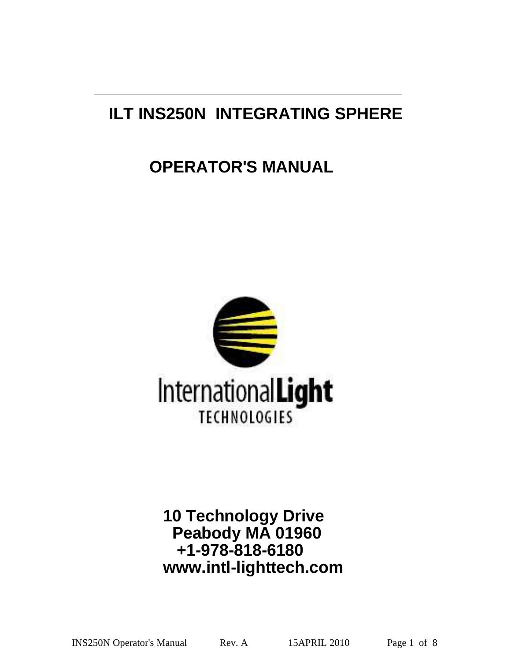# **ILT INS250N INTEGRATING SPHERE**

# **OPERATOR'S MANUAL**



# **10 Technology Drive Peabody MA 01960 +1-978-818-6180 www.intl-lighttech.com**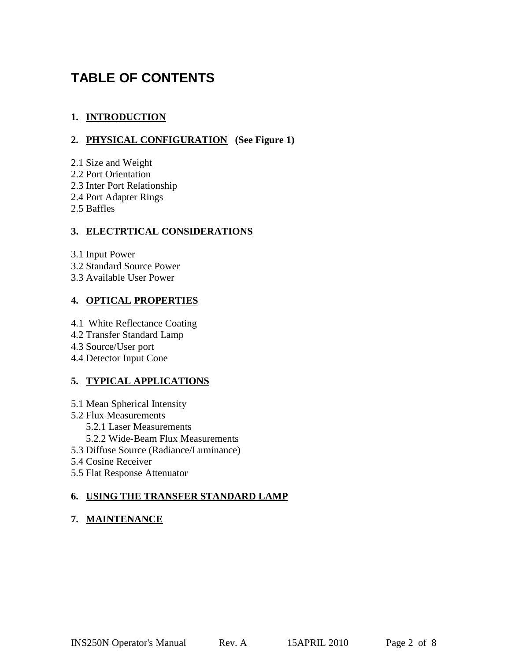# **TABLE OF CONTENTS**

### **1. INTRODUCTION**

### **2. PHYSICAL CONFIGURATION (See Figure 1)**

- 2.1 Size and Weight
- 2.2 Port Orientation
- 2.3 Inter Port Relationship
- 2.4 Port Adapter Rings
- 2.5 Baffles

#### **3. ELECTRTICAL CONSIDERATIONS**

3.1 Input Power

- 3.2 Standard Source Power
- 3.3 Available User Power

### **4. OPTICAL PROPERTIES**

4.1 White Reflectance Coating

- 4.2 Transfer Standard Lamp
- 4.3 Source/User port
- 4.4 Detector Input Cone

### **5. TYPICAL APPLICATIONS**

- 5.1 Mean Spherical Intensity
- 5.2 Flux Measurements
	- 5.2.1 Laser Measurements
	- 5.2.2 Wide-Beam Flux Measurements
- 5.3 Diffuse Source (Radiance/Luminance)
- 5.4 Cosine Receiver
- 5.5 Flat Response Attenuator

### **6. USING THE TRANSFER STANDARD LAMP**

### **7. MAINTENANCE**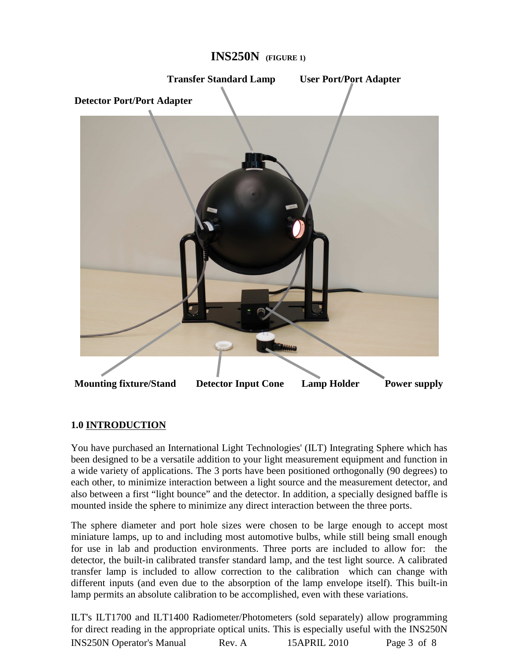

# **INS250N (FIGURE 1)**

#### **1.0 INTRODUCTION**

You have purchased an International Light Technologies' (ILT) Integrating Sphere which has been designed to be a versatile addition to your light measurement equipment and function in a wide variety of applications. The 3 ports have been positioned orthogonally (90 degrees) to each other, to minimize interaction between a light source and the measurement detector, and also between a first "light bounce" and the detector. In addition, a specially designed baffle is mounted inside the sphere to minimize any direct interaction between the three ports.

The sphere diameter and port hole sizes were chosen to be large enough to accept most miniature lamps, up to and including most automotive bulbs, while still being small enough for use in lab and production environments. Three ports are included to allow for: the detector, the built-in calibrated transfer standard lamp, and the test light source. A calibrated transfer lamp is included to allow correction to the calibration which can change with different inputs (and even due to the absorption of the lamp envelope itself). This built-in lamp permits an absolute calibration to be accomplished, even with these variations.

ILT's ILT1700 and ILT1400 Radiometer/Photometers (sold separately) allow programming for direct reading in the appropriate optical units. This is especially useful with the INS250N INS250N Operator's Manual Rev. A 15APRIL 2010 Page 3 of 8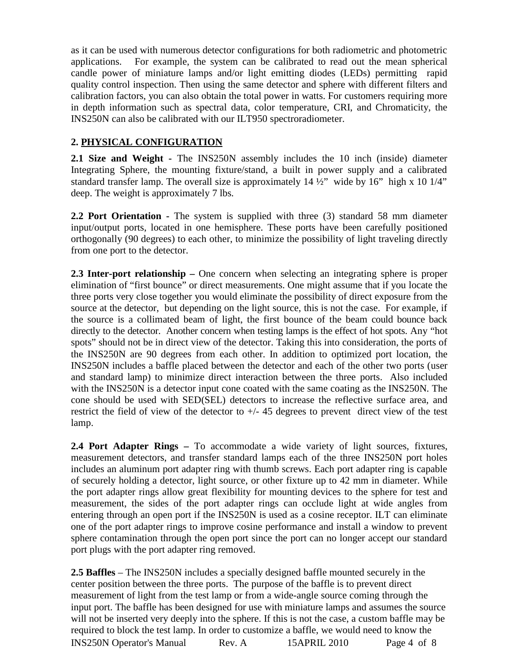as it can be used with numerous detector configurations for both radiometric and photometric applications. For example, the system can be calibrated to read out the mean spherical candle power of miniature lamps and/or light emitting diodes (LEDs) permitting rapid quality control inspection. Then using the same detector and sphere with different filters and calibration factors, you can also obtain the total power in watts. For customers requiring more in depth information such as spectral data, color temperature, CRI, and Chromaticity, the INS250N can also be calibrated with our ILT950 spectroradiometer.

#### **2. PHYSICAL CONFIGURATION**

**2.1 Size and Weight -** The INS250N assembly includes the 10 inch (inside) diameter Integrating Sphere, the mounting fixture/stand, a built in power supply and a calibrated standard transfer lamp. The overall size is approximately  $14\frac{1}{2}$ " wide by  $16$ " high x  $10\frac{1}{4}$ " deep. The weight is approximately 7 lbs.

**2.2 Port Orientation -** The system is supplied with three (3) standard 58 mm diameter input/output ports, located in one hemisphere. These ports have been carefully positioned orthogonally (90 degrees) to each other, to minimize the possibility of light traveling directly from one port to the detector.

**2.3 Inter-port relationship –** One concern when selecting an integrating sphere is proper elimination of "first bounce" or direct measurements. One might assume that if you locate the three ports very close together you would eliminate the possibility of direct exposure from the source at the detector, but depending on the light source, this is not the case. For example, if the source is a collimated beam of light, the first bounce of the beam could bounce back directly to the detector. Another concern when testing lamps is the effect of hot spots. Any "hot spots" should not be in direct view of the detector. Taking this into consideration, the ports of the INS250N are 90 degrees from each other. In addition to optimized port location, the INS250N includes a baffle placed between the detector and each of the other two ports (user and standard lamp) to minimize direct interaction between the three ports. Also included with the INS250N is a detector input cone coated with the same coating as the INS250N. The cone should be used with SED(SEL) detectors to increase the reflective surface area, and restrict the field of view of the detector to  $+/- 45$  degrees to prevent direct view of the test lamp.

**2.4 Port Adapter Rings –** To accommodate a wide variety of light sources, fixtures, measurement detectors, and transfer standard lamps each of the three INS250N port holes includes an aluminum port adapter ring with thumb screws. Each port adapter ring is capable of securely holding a detector, light source, or other fixture up to 42 mm in diameter. While the port adapter rings allow great flexibility for mounting devices to the sphere for test and measurement, the sides of the port adapter rings can occlude light at wide angles from entering through an open port if the INS250N is used as a cosine receptor. ILT can eliminate one of the port adapter rings to improve cosine performance and install a window to prevent sphere contamination through the open port since the port can no longer accept our standard port plugs with the port adapter ring removed.

**2.5 Baffles** – The INS250N includes a specially designed baffle mounted securely in the center position between the three ports. The purpose of the baffle is to prevent direct measurement of light from the test lamp or from a wide-angle source coming through the input port. The baffle has been designed for use with miniature lamps and assumes the source will not be inserted very deeply into the sphere. If this is not the case, a custom baffle may be required to block the test lamp. In order to customize a baffle, we would need to know the INS250N Operator's Manual Rev. A 15APRIL 2010 Page 4 of 8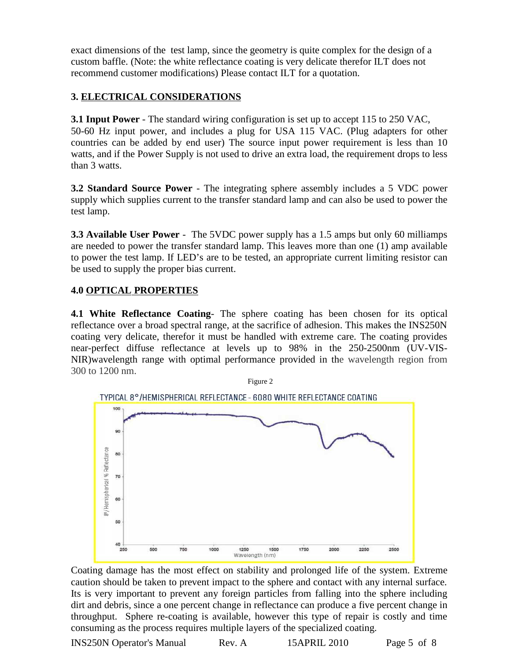exact dimensions of the test lamp, since the geometry is quite complex for the design of a custom baffle. (Note: the white reflectance coating is very delicate therefor ILT does not recommend customer modifications) Please contact ILT for a quotation.

# **3. ELECTRICAL CONSIDERATIONS**

**3.1 Input Power** - The standard wiring configuration is set up to accept 115 to 250 VAC, 50-60 Hz input power, and includes a plug for USA 115 VAC. (Plug adapters for other countries can be added by end user) The source input power requirement is less than 10 watts, and if the Power Supply is not used to drive an extra load, the requirement drops to less than 3 watts.

**3.2 Standard Source Power** - The integrating sphere assembly includes a 5 VDC power supply which supplies current to the transfer standard lamp and can also be used to power the test lamp.

**3.3 Available User Power** - The 5VDC power supply has a 1.5 amps but only 60 milliamps are needed to power the transfer standard lamp. This leaves more than one (1) amp available to power the test lamp. If LED's are to be tested, an appropriate current limiting resistor can be used to supply the proper bias current.

# **4.0 OPTICAL PROPERTIES**

**4.1 White Reflectance Coating**- The sphere coating has been chosen for its optical reflectance over a broad spectral range, at the sacrifice of adhesion. This makes the INS250N coating very delicate, therefor it must be handled with extreme care. The coating provides near-perfect diffuse reflectance at levels up to 98% in the 250-2500nm (UV-VIS-NIR)wavelength range with optimal performance provided in the wavelength region from 300 to 1200 nm.



Coating damage has the most effect on stability and prolonged life of the system. Extreme caution should be taken to prevent impact to the sphere and contact with any internal surface. Its is very important to prevent any foreign particles from falling into the sphere including dirt and debris, since a one percent change in reflectance can produce a five percent change in throughput. Sphere re-coating is available, however this type of repair is costly and time consuming as the process requires multiple layers of the specialized coating.

INS250N Operator's Manual Rev. A 15APRIL 2010 Page 5 of 8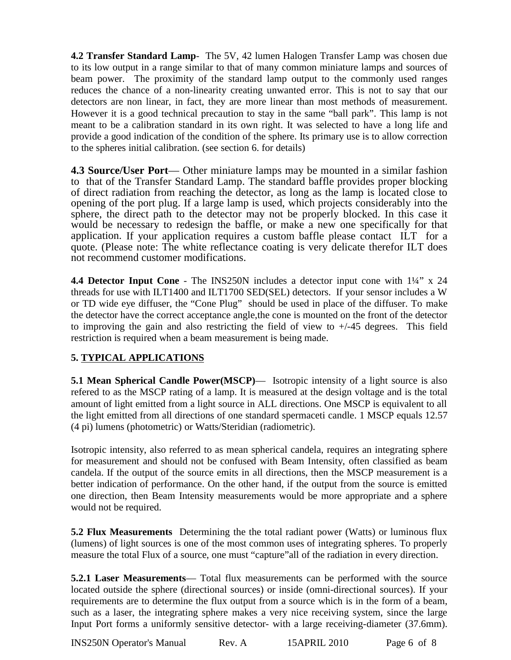**4.2 Transfer Standard Lamp**- The 5V, 42 lumen Halogen Transfer Lamp was chosen due to its low output in a range similar to that of many common miniature lamps and sources of beam power. The proximity of the standard lamp output to the commonly used ranges reduces the chance of a non-linearity creating unwanted error. This is not to say that our detectors are non linear, in fact, they are more linear than most methods of measurement. However it is a good technical precaution to stay in the same "ball park". This lamp is not meant to be a calibration standard in its own right. It was selected to have a long life and provide a good indication of the condition of the sphere. Its primary use is to allow correction to the spheres initial calibration. (see section 6. for details)

**4.3 Source/User Port**— Other miniature lamps may be mounted in a similar fashion to that of the Transfer Standard Lamp. The standard baffle provides proper blocking of direct radiation from reaching the detector, as long as the lamp is located close to opening of the port plug. If a large lamp is used, which projects considerably into the sphere, the direct path to the detector may not be properly blocked. In this case it would be necessary to redesign the baffle, or make a new one specifically for that application. If your application requires a custom baffle please contact ILT for a quote. (Please note: The white reflectance coating is very delicate therefor ILT does not recommend customer modifications.

**4.4 Detector Input Cone** - The INS250N includes a detector input cone with  $1\frac{1}{4}$ " x 24 threads for use with ILT1400 and ILT1700 SED(SEL) detectors. If your sensor includes a W or TD wide eye diffuser, the "Cone Plug" should be used in place of the diffuser. To make the detector have the correct acceptance angle,the cone is mounted on the front of the detector to improving the gain and also restricting the field of view to  $+/45$  degrees. This field restriction is required when a beam measurement is being made.

### **5. TYPICAL APPLICATIONS**

**5.1 Mean Spherical Candle Power(MSCP)—** Isotropic intensity of a light source is also refered to as the MSCP rating of a lamp. It is measured at the design voltage and is the total amount of light emitted from a light source in ALL directions. One MSCP is equivalent to all the light emitted from all directions of one standard spermaceti candle. 1 MSCP equals 12.57 (4 pi) lumens (photometric) or Watts/Steridian (radiometric).

Isotropic intensity, also referred to as mean spherical candela, requires an integrating sphere for measurement and should not be confused with Beam Intensity, often classified as beam candela. If the output of the source emits in all directions, then the MSCP measurement is a better indication of performance. On the other hand, if the output from the source is emitted one direction, then Beam Intensity measurements would be more appropriate and a sphere would not be required.

**5.2 Flux Measurements** Determining the the total radiant power (Watts) or luminous flux (lumens) of light sources is one of the most common uses of integrating spheres. To properly measure the total Flux of a source, one must "capture"all of the radiation in every direction.

**5.2.1 Laser Measurements**— Total flux measurements can be performed with the source located outside the sphere (directional sources) or inside (omni-directional sources). If your requirements are to determine the flux output from a source which is in the form of a beam, such as a laser, the integrating sphere makes a very nice receiving system, since the large Input Port forms a uniformly sensitive detector- with a large receiving-diameter (37.6mm).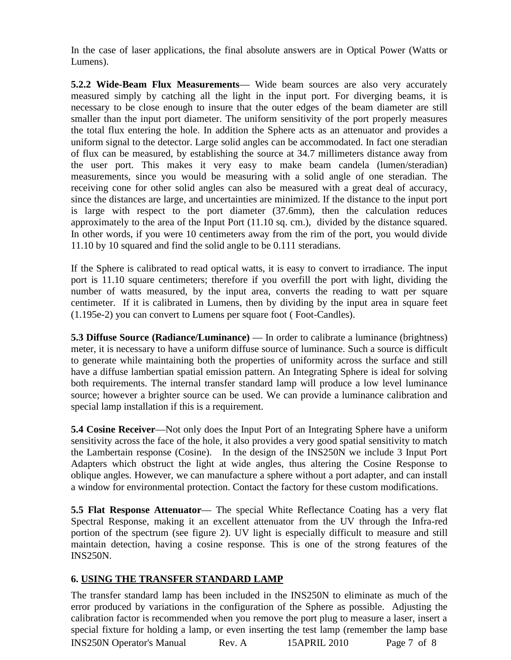In the case of laser applications, the final absolute answers are in Optical Power (Watts or Lumens).

**5.2.2 Wide-Beam Flux Measurements**— Wide beam sources are also very accurately measured simply by catching all the light in the input port. For diverging beams, it is necessary to be close enough to insure that the outer edges of the beam diameter are still smaller than the input port diameter. The uniform sensitivity of the port properly measures the total flux entering the hole. In addition the Sphere acts as an attenuator and provides a uniform signal to the detector. Large solid angles can be accommodated. In fact one steradian of flux can be measured, by establishing the source at 34.7 millimeters distance away from the user port. This makes it very easy to make beam candela (lumen/steradian) measurements, since you would be measuring with a solid angle of one steradian. The receiving cone for other solid angles can also be measured with a great deal of accuracy, since the distances are large, and uncertainties are minimized. If the distance to the input port is large with respect to the port diameter (37.6mm), then the calculation reduces approximately to the area of the Input Port (11.10 sq. cm.), divided by the distance squared. In other words, if you were 10 centimeters away from the rim of the port, you would divide 11.10 by 10 squared and find the solid angle to be 0.111 steradians.

If the Sphere is calibrated to read optical watts, it is easy to convert to irradiance. The input port is 11.10 square centimeters; therefore if you overfill the port with light, dividing the number of watts measured, by the input area, converts the reading to watt per square centimeter. If it is calibrated in Lumens, then by dividing by the input area in square feet (1.195e-2) you can convert to Lumens per square foot ( Foot-Candles).

**5.3 Diffuse Source (Radiance/Luminance)** — In order to calibrate a luminance (brightness) meter, it is necessary to have a uniform diffuse source of luminance. Such a source is difficult to generate while maintaining both the properties of uniformity across the surface and still have a diffuse lambertian spatial emission pattern. An Integrating Sphere is ideal for solving both requirements. The internal transfer standard lamp will produce a low level luminance source; however a brighter source can be used. We can provide a luminance calibration and special lamp installation if this is a requirement.

**5.4 Cosine Receiver**—Not only does the Input Port of an Integrating Sphere have a uniform sensitivity across the face of the hole, it also provides a very good spatial sensitivity to match the Lambertain response (Cosine). In the design of the INS250N we include 3 Input Port Adapters which obstruct the light at wide angles, thus altering the Cosine Response to oblique angles. However, we can manufacture a sphere without a port adapter, and can install a window for environmental protection. Contact the factory for these custom modifications.

**5.5 Flat Response Attenuator**— The special White Reflectance Coating has a very flat Spectral Response, making it an excellent attenuator from the UV through the Infra-red portion of the spectrum (see figure 2). UV light is especially difficult to measure and still maintain detection, having a cosine response. This is one of the strong features of the INS250N.

#### **6. USING THE TRANSFER STANDARD LAMP**

The transfer standard lamp has been included in the INS250N to eliminate as much of the error produced by variations in the configuration of the Sphere as possible. Adjusting the calibration factor is recommended when you remove the port plug to measure a laser, insert a special fixture for holding a lamp, or even inserting the test lamp (remember the lamp base INS250N Operator's Manual Rev. A 15APRIL 2010 Page 7 of 8